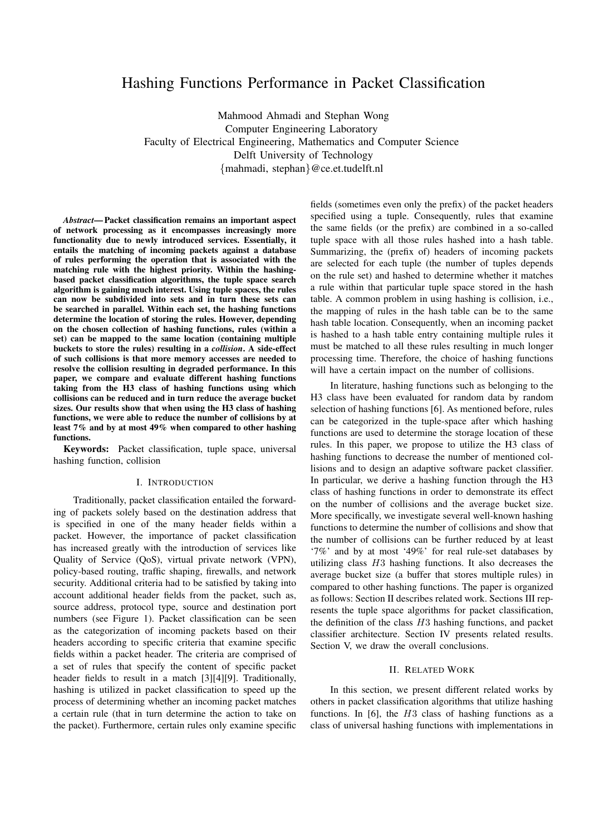# Hashing Functions Performance in Packet Classification

Mahmood Ahmadi and Stephan Wong Computer Engineering Laboratory Faculty of Electrical Engineering, Mathematics and Computer Science Delft University of Technology {mahmadi, stephan}@ce.et.tudelft.nl

*Abstract*— Packet classification remains an important aspect of network processing as it encompasses increasingly more functionality due to newly introduced services. Essentially, it entails the matching of incoming packets against a database of rules performing the operation that is associated with the matching rule with the highest priority. Within the hashingbased packet classification algorithms, the tuple space search algorithm is gaining much interest. Using tuple spaces, the rules can now be subdivided into sets and in turn these sets can be searched in parallel. Within each set, the hashing functions determine the location of storing the rules. However, depending on the chosen collection of hashing functions, rules (within a set) can be mapped to the same location (containing multiple buckets to store the rules) resulting in a *collision*. A side-effect of such collisions is that more memory accesses are needed to resolve the collision resulting in degraded performance. In this paper, we compare and evaluate different hashing functions taking from the H3 class of hashing functions using which collisions can be reduced and in turn reduce the average bucket sizes. Our results show that when using the H3 class of hashing functions, we were able to reduce the number of collisions by at least 7% and by at most 49% when compared to other hashing functions.

Keywords: Packet classification, tuple space, universal hashing function, collision

#### I. INTRODUCTION

Traditionally, packet classification entailed the forwarding of packets solely based on the destination address that is specified in one of the many header fields within a packet. However, the importance of packet classification has increased greatly with the introduction of services like Quality of Service (QoS), virtual private network (VPN), policy-based routing, traffic shaping, firewalls, and network security. Additional criteria had to be satisfied by taking into account additional header fields from the packet, such as, source address, protocol type, source and destination port numbers (see Figure 1). Packet classification can be seen as the categorization of incoming packets based on their headers according to specific criteria that examine specific fields within a packet header. The criteria are comprised of a set of rules that specify the content of specific packet header fields to result in a match [3][4][9]. Traditionally, hashing is utilized in packet classification to speed up the process of determining whether an incoming packet matches a certain rule (that in turn determine the action to take on the packet). Furthermore, certain rules only examine specific

fields (sometimes even only the prefix) of the packet headers specified using a tuple. Consequently, rules that examine the same fields (or the prefix) are combined in a so-called tuple space with all those rules hashed into a hash table. Summarizing, the (prefix of) headers of incoming packets are selected for each tuple (the number of tuples depends on the rule set) and hashed to determine whether it matches a rule within that particular tuple space stored in the hash table. A common problem in using hashing is collision, i.e., the mapping of rules in the hash table can be to the same hash table location. Consequently, when an incoming packet is hashed to a hash table entry containing multiple rules it must be matched to all these rules resulting in much longer processing time. Therefore, the choice of hashing functions will have a certain impact on the number of collisions.

In literature, hashing functions such as belonging to the H3 class have been evaluated for random data by random selection of hashing functions [6]. As mentioned before, rules can be categorized in the tuple-space after which hashing functions are used to determine the storage location of these rules. In this paper, we propose to utilize the H3 class of hashing functions to decrease the number of mentioned collisions and to design an adaptive software packet classifier. In particular, we derive a hashing function through the H3 class of hashing functions in order to demonstrate its effect on the number of collisions and the average bucket size. More specifically, we investigate several well-known hashing functions to determine the number of collisions and show that the number of collisions can be further reduced by at least '7%' and by at most '49%' for real rule-set databases by utilizing class  $H3$  hashing functions. It also decreases the average bucket size (a buffer that stores multiple rules) in compared to other hashing functions. The paper is organized as follows: Section II describes related work. Sections III represents the tuple space algorithms for packet classification, the definition of the class  $H3$  hashing functions, and packet classifier architecture. Section IV presents related results. Section V, we draw the overall conclusions.

#### II. RELATED WORK

In this section, we present different related works by others in packet classification algorithms that utilize hashing functions. In  $[6]$ , the  $H3$  class of hashing functions as a class of universal hashing functions with implementations in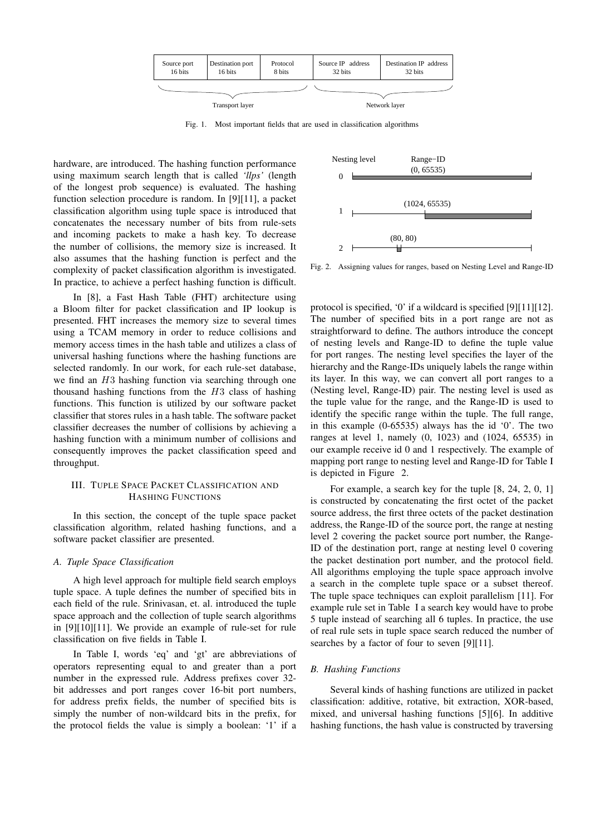| Source port<br>16 bits | Destination port<br>16 bits | Protocol<br>8 bits | Source IP address<br>32 bits | Destination IP address<br>32 bits |
|------------------------|-----------------------------|--------------------|------------------------------|-----------------------------------|
|                        |                             |                    |                              |                                   |
|                        | Transport layer             |                    |                              | Network layer                     |

Fig. 1. Most important fields that are used in classification algorithms

hardware, are introduced. The hashing function performance using maximum search length that is called *'llps'* (length of the longest prob sequence) is evaluated. The hashing function selection procedure is random. In [9][11], a packet classification algorithm using tuple space is introduced that concatenates the necessary number of bits from rule-sets and incoming packets to make a hash key. To decrease the number of collisions, the memory size is increased. It also assumes that the hashing function is perfect and the complexity of packet classification algorithm is investigated. In practice, to achieve a perfect hashing function is difficult.

In [8], a Fast Hash Table (FHT) architecture using a Bloom filter for packet classification and IP lookup is presented. FHT increases the memory size to several times using a TCAM memory in order to reduce collisions and memory access times in the hash table and utilizes a class of universal hashing functions where the hashing functions are selected randomly. In our work, for each rule-set database, we find an  $H3$  hashing function via searching through one thousand hashing functions from the  $H3$  class of hashing functions. This function is utilized by our software packet classifier that stores rules in a hash table. The software packet classifier decreases the number of collisions by achieving a hashing function with a minimum number of collisions and consequently improves the packet classification speed and throughput.

# III. TUPLE SPACE PACKET CLASSIFICATION AND HASHING FUNCTIONS

In this section, the concept of the tuple space packet classification algorithm, related hashing functions, and a software packet classifier are presented.

## *A. Tuple Space Classification*

A high level approach for multiple field search employs tuple space. A tuple defines the number of specified bits in each field of the rule. Srinivasan, et. al. introduced the tuple space approach and the collection of tuple search algorithms in [9][10][11]. We provide an example of rule-set for rule classification on five fields in Table I.

In Table I, words 'eq' and 'gt' are abbreviations of operators representing equal to and greater than a port number in the expressed rule. Address prefixes cover 32 bit addresses and port ranges cover 16-bit port numbers, for address prefix fields, the number of specified bits is simply the number of non-wildcard bits in the prefix, for the protocol fields the value is simply a boolean: '1' if a



Fig. 2. Assigning values for ranges, based on Nesting Level and Range-ID

protocol is specified, '0' if a wildcard is specified [9][11][12]. The number of specified bits in a port range are not as straightforward to define. The authors introduce the concept of nesting levels and Range-ID to define the tuple value for port ranges. The nesting level specifies the layer of the hierarchy and the Range-IDs uniquely labels the range within its layer. In this way, we can convert all port ranges to a (Nesting level, Range-ID) pair. The nesting level is used as the tuple value for the range, and the Range-ID is used to identify the specific range within the tuple. The full range, in this example (0-65535) always has the id '0'. The two ranges at level 1, namely (0, 1023) and (1024, 65535) in our example receive id 0 and 1 respectively. The example of mapping port range to nesting level and Range-ID for Table I is depicted in Figure 2.

For example, a search key for the tuple [8, 24, 2, 0, 1] is constructed by concatenating the first octet of the packet source address, the first three octets of the packet destination address, the Range-ID of the source port, the range at nesting level 2 covering the packet source port number, the Range-ID of the destination port, range at nesting level 0 covering the packet destination port number, and the protocol field. All algorithms employing the tuple space approach involve a search in the complete tuple space or a subset thereof. The tuple space techniques can exploit parallelism [11]. For example rule set in Table I a search key would have to probe 5 tuple instead of searching all 6 tuples. In practice, the use of real rule sets in tuple space search reduced the number of searches by a factor of four to seven [9][11].

## *B. Hashing Functions*

Several kinds of hashing functions are utilized in packet classification: additive, rotative, bit extraction, XOR-based, mixed, and universal hashing functions [5][6]. In additive hashing functions, the hash value is constructed by traversing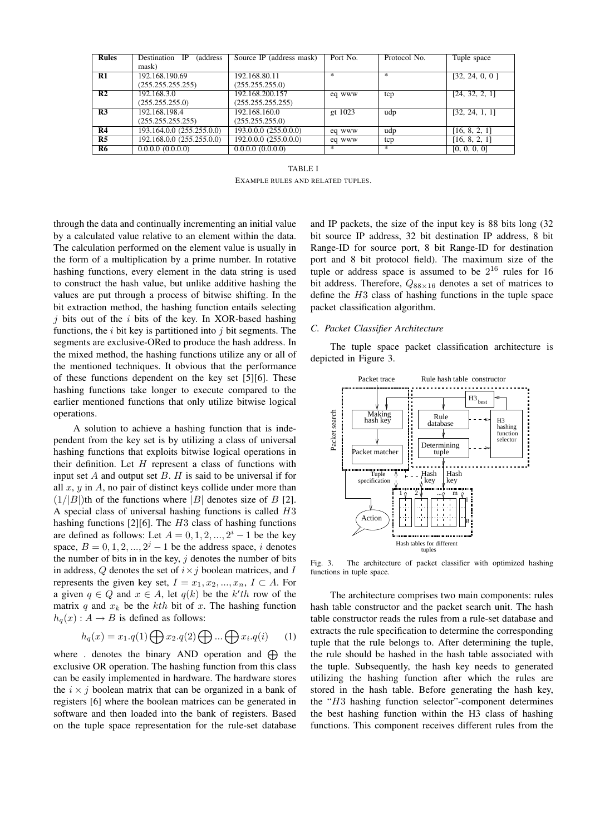| <b>Rules</b>   | <i>(address)</i><br>IP<br>Destination | Source IP (address mask) | Port No. | Protocol No. | Tuple space    |
|----------------|---------------------------------------|--------------------------|----------|--------------|----------------|
|                | mask)                                 |                          |          |              |                |
| R1             | 192.168.190.69                        | 192.168.80.11            | 宋.       | $*$          | [32, 24, 0, 0] |
|                | (255.255.255.255)                     | (255.255.255.0)          |          |              |                |
| R <sub>2</sub> | 192.168.3.0                           | 192.168.200.157          | eq www   | tcp          | [24, 32, 2, 1] |
|                | (255.255.255.0)                       | (255.255.255.255)        |          |              |                |
| R3             | 192.168.198.4                         | 192.168.160.0            | gt 1023  | udp          | [32, 24, 1, 1] |
|                | (255.255.255.255)                     | (255.255.255.0)          |          |              |                |
| R <sub>4</sub> | 193.164.0.0 (255.255.0.0)             | 193.0.0.0 (255.0.0.0)    | eq www   | udp          | [16, 8, 2, 1]  |
| R <sub>5</sub> | 192.168.0.0 (255.255.0.0)             | 192.0.0.0 (255.0.0.0)    | eq www   | tcp          | [16, 8, 2, 1]  |
| R6             | 0.0.0.0(0.0.0.0)                      | 0.0.0.0(0.0.0.0)         | *        | $*$          | [0, 0, 0, 0]   |
|                |                                       |                          |          |              |                |

TABLE I EXAMPLE RULES AND RELATED TUPLES.

through the data and continually incrementing an initial value by a calculated value relative to an element within the data. The calculation performed on the element value is usually in the form of a multiplication by a prime number. In rotative hashing functions, every element in the data string is used to construct the hash value, but unlike additive hashing the values are put through a process of bitwise shifting. In the bit extraction method, the hashing function entails selecting  $j$  bits out of the  $i$  bits of the key. In XOR-based hashing functions, the  $i$  bit key is partitioned into  $j$  bit segments. The segments are exclusive-ORed to produce the hash address. In the mixed method, the hashing functions utilize any or all of the mentioned techniques. It obvious that the performance of these functions dependent on the key set [5][6]. These hashing functions take longer to execute compared to the earlier mentioned functions that only utilize bitwise logical operations.

A solution to achieve a hashing function that is independent from the key set is by utilizing a class of universal hashing functions that exploits bitwise logical operations in their definition. Let  $H$  represent a class of functions with input set  $A$  and output set  $B$ .  $H$  is said to be universal if for all  $x, y$  in  $A$ , no pair of distinct keys collide under more than  $(1/|B|)$ th of the functions where |B| denotes size of B [2]. A special class of universal hashing functions is called H3 hashing functions [2][6]. The  $H3$  class of hashing functions are defined as follows: Let  $A = 0, 1, 2, ..., 2^i - 1$  be the key space,  $B = 0, 1, 2, ..., 2^{j} - 1$  be the address space, i denotes the number of bits in in the key,  $j$  denotes the number of bits in address,  $Q$  denotes the set of  $i \times j$  boolean matrices, and  $I$ represents the given key set,  $I = x_1, x_2, ..., x_n, I \subset A$ . For a given  $q \in Q$  and  $x \in A$ , let  $q(k)$  be the  $k'th$  row of the matrix q and  $x_k$  be the kth bit of x. The hashing function  $h_q(x)$ :  $A \rightarrow B$  is defined as follows:

$$
h_q(x) = x_1.q(1)\bigoplus x_2.q(2)\bigoplus \dots \bigoplus x_i.q(i) \qquad (1)
$$

where . denotes the binary AND operation and  $\bigoplus$  the exclusive OR operation. The hashing function from this class can be easily implemented in hardware. The hardware stores the  $i \times j$  boolean matrix that can be organized in a bank of registers [6] where the boolean matrices can be generated in software and then loaded into the bank of registers. Based on the tuple space representation for the rule-set database

and IP packets, the size of the input key is 88 bits long (32 bit source IP address, 32 bit destination IP address, 8 bit Range-ID for source port, 8 bit Range-ID for destination port and 8 bit protocol field). The maximum size of the tuple or address space is assumed to be  $2^{16}$  rules for 16 bit address. Therefore,  $Q_{88\times16}$  denotes a set of matrices to define the H3 class of hashing functions in the tuple space packet classification algorithm.

## *C. Packet Classifier Architecture*

The tuple space packet classification architecture is depicted in Figure 3.



Fig. 3. The architecture of packet classifier with optimized hashing functions in tuple space.

The architecture comprises two main components: rules hash table constructor and the packet search unit. The hash table constructor reads the rules from a rule-set database and extracts the rule specification to determine the corresponding tuple that the rule belongs to. After determining the tuple, the rule should be hashed in the hash table associated with the tuple. Subsequently, the hash key needs to generated utilizing the hashing function after which the rules are stored in the hash table. Before generating the hash key, the "H3 hashing function selector"-component determines the best hashing function within the H3 class of hashing functions. This component receives different rules from the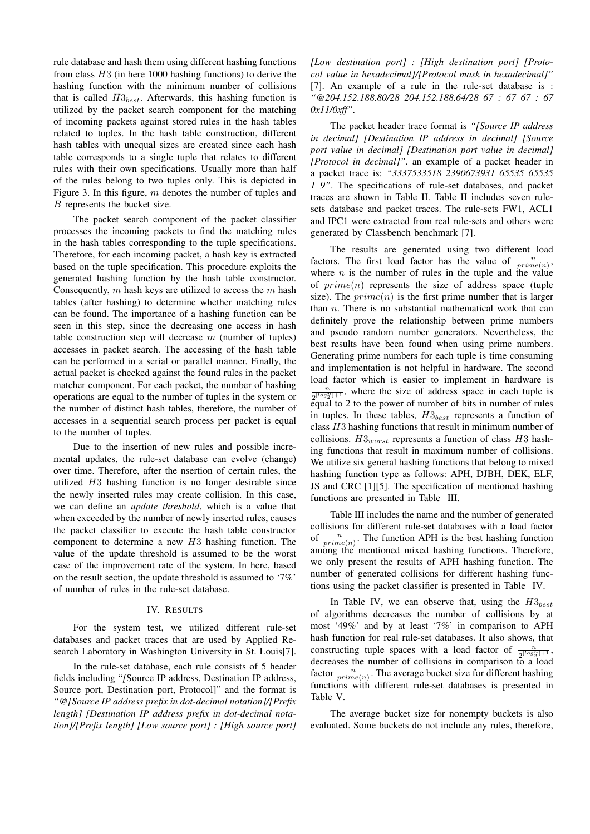rule database and hash them using different hashing functions from class  $H3$  (in here 1000 hashing functions) to derive the hashing function with the minimum number of collisions that is called  $H3_{best}$ . Afterwards, this hashing function is utilized by the packet search component for the matching of incoming packets against stored rules in the hash tables related to tuples. In the hash table construction, different hash tables with unequal sizes are created since each hash table corresponds to a single tuple that relates to different rules with their own specifications. Usually more than half of the rules belong to two tuples only. This is depicted in Figure 3. In this figure, m denotes the number of tuples and B represents the bucket size.

The packet search component of the packet classifier processes the incoming packets to find the matching rules in the hash tables corresponding to the tuple specifications. Therefore, for each incoming packet, a hash key is extracted based on the tuple specification. This procedure exploits the generated hashing function by the hash table constructor. Consequently,  $m$  hash keys are utilized to access the  $m$  hash tables (after hashing) to determine whether matching rules can be found. The importance of a hashing function can be seen in this step, since the decreasing one access in hash table construction step will decrease  $m$  (number of tuples) accesses in packet search. The accessing of the hash table can be performed in a serial or parallel manner. Finally, the actual packet is checked against the found rules in the packet matcher component. For each packet, the number of hashing operations are equal to the number of tuples in the system or the number of distinct hash tables, therefore, the number of accesses in a sequential search process per packet is equal to the number of tuples.

Due to the insertion of new rules and possible incremental updates, the rule-set database can evolve (change) over time. Therefore, after the nsertion of certain rules, the utilized H3 hashing function is no longer desirable since the newly inserted rules may create collision. In this case, we can define an *update threshold*, which is a value that when exceeded by the number of newly inserted rules, causes the packet classifier to execute the hash table constructor component to determine a new H3 hashing function. The value of the update threshold is assumed to be the worst case of the improvement rate of the system. In here, based on the result section, the update threshold is assumed to '7%' of number of rules in the rule-set database.

### IV. RESULTS

For the system test, we utilized different rule-set databases and packet traces that are used by Applied Research Laboratory in Washington University in St. Louis[7].

In the rule-set database, each rule consists of 5 header fields including "*[*Source IP address, Destination IP address, Source port, Destination port, Protocol]" and the format is *"@[Source IP address prefix in dot-decimal notation]/[Prefix length] [Destination IP address prefix in dot-decimal notation]/[Prefix length] [Low source port] : [High source port]*

*[Low destination port] : [High destination port] [Protocol value in hexadecimal]/[Protocol mask in hexadecimal]"* [7]. An example of a rule in the rule-set database is : *"@204.152.188.80/28 204.152.188.64/28 67 : 67 67 : 67 0x11/0xff"*.

The packet header trace format is *"[Source IP address in decimal] [Destination IP address in decimal] [Source port value in decimal] [Destination port value in decimal] [Protocol in decimal]"*. an example of a packet header in a packet trace is: *"3337533518 2390673931 65535 65535 1 9"*. The specifications of rule-set databases, and packet traces are shown in Table II. Table II includes seven rulesets database and packet traces. The rule-sets FW1, ACL1 and IPC1 were extracted from real rule-sets and others were generated by Classbench benchmark [7].

The results are generated using two different load factors. The first load factor has the value of  $\frac{n}{prime(n)}$ , where  $n$  is the number of rules in the tuple and the value of  $prime(n)$  represents the size of address space (tuple size). The  $prime(n)$  is the first prime number that is larger than  $n$ . There is no substantial mathematical work that can definitely prove the relationship between prime numbers and pseudo random number generators. Nevertheless, the best results have been found when using prime numbers. Generating prime numbers for each tuple is time consuming and implementation is not helpful in hardware. The second load factor which is easier to implement in hardware is n  $\frac{n}{2^{[log_2^{n}] + 1}}$ , where the size of address space in each tuple is equal to 2 to the power of number of bits in number of rules in tuples. In these tables,  $H3_{best}$  represents a function of class H3 hashing functions that result in minimum number of collisions.  $H3_{worst}$  represents a function of class  $H3$  hashing functions that result in maximum number of collisions. We utilize six general hashing functions that belong to mixed hashing function type as follows: APH, DJBH, DEK, ELF, JS and CRC [1][5]. The specification of mentioned hashing functions are presented in Table III.

Table III includes the name and the number of generated collisions for different rule-set databases with a load factor of  $\frac{n}{prime(n)}$ . The function APH is the best hashing function among the mentioned mixed hashing functions. Therefore, we only present the results of APH hashing function. The number of generated collisions for different hashing functions using the packet classifier is presented in Table IV.

In Table IV, we can observe that, using the  $H3_{best}$ of algorithms decreases the number of collisions by at most '49%' and by at least '7%' in comparison to APH hash function for real rule-set databases. It also shows, that constructing tuple spaces with a load factor of  $\frac{n}{2^{\lfloor log_2^{n} \rfloor + 1}}$ , decreases the number of collisions in comparison to a load factor  $\frac{n}{prime(n)}$ . The average bucket size for different hashing functions with different rule-set databases is presented in Table V.

The average bucket size for nonempty buckets is also evaluated. Some buckets do not include any rules, therefore,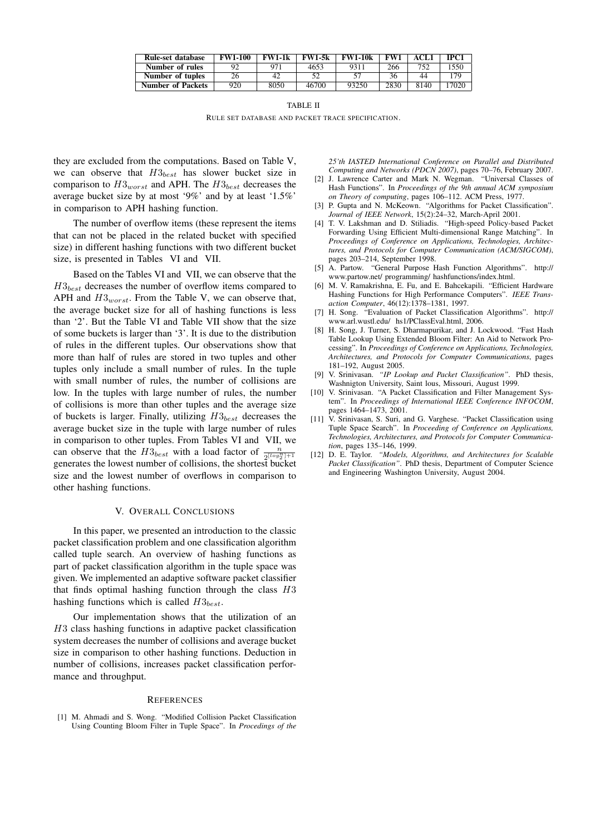| Rule-set database        | <b>FW1-100</b> | <b>FW1-1k</b> | <b>FW1-5k</b> | <b>FW1-10k</b> | FW1  | ACL1 | IPC1 |
|--------------------------|----------------|---------------|---------------|----------------|------|------|------|
| Number of rules          | 92             |               | 4653          | 9311           | 266  | 752  | 1550 |
| Number of tuples         | 26             | 42            |               |                | 36   | 44   | 170  |
| <b>Number of Packets</b> | 920            | 8050          | 46700         | 93250          | 2830 | 8140 | 7020 |

| TABLE II                                          |
|---------------------------------------------------|
| RULE SET DATABASE AND PACKET TRACE SPECIFICATION. |

they are excluded from the computations. Based on Table V, we can observe that  $H3_{best}$  has slower bucket size in comparison to  $H3<sub>worst</sub>$  and APH. The  $H3<sub>best</sub>$  decreases the average bucket size by at most '9%' and by at least '1.5%' in comparison to APH hashing function.

The number of overflow items (these represent the items that can not be placed in the related bucket with specified size) in different hashing functions with two different bucket size, is presented in Tables VI and VII.

Based on the Tables VI and VII, we can observe that the  $H3_{best}$  decreases the number of overflow items compared to APH and  $H3_{worst}$ . From the Table V, we can observe that, the average bucket size for all of hashing functions is less than '2'. But the Table VI and Table VII show that the size of some buckets is larger than '3'. It is due to the distribution of rules in the different tuples. Our observations show that more than half of rules are stored in two tuples and other tuples only include a small number of rules. In the tuple with small number of rules, the number of collisions are low. In the tuples with large number of rules, the number of collisions is more than other tuples and the average size of buckets is larger. Finally, utilizing  $H3_{best}$  decreases the average bucket size in the tuple with large number of rules in comparison to other tuples. From Tables VI and VII, we can observe that the  $H3_{best}$  with a load factor of  $\frac{n}{2^{\lfloor log_2^{n} \rfloor + 1}}$ generates the lowest number of collisions, the shortest bucket size and the lowest number of overflows in comparison to other hashing functions.

## V. OVERALL CONCLUSIONS

In this paper, we presented an introduction to the classic packet classification problem and one classification algorithm called tuple search. An overview of hashing functions as part of packet classification algorithm in the tuple space was given. We implemented an adaptive software packet classifier that finds optimal hashing function through the class H3 hashing functions which is called  $H3_{best}$ .

Our implementation shows that the utilization of an H3 class hashing functions in adaptive packet classification system decreases the number of collisions and average bucket size in comparison to other hashing functions. Deduction in number of collisions, increases packet classification performance and throughput.

#### **REFERENCES**

[1] M. Ahmadi and S. Wong. "Modified Collision Packet Classification Using Counting Bloom Filter in Tuple Space". In *Procedings of the* *25'th IASTED International Conference on Parallel and Distributed Computing and Networks (PDCN 2007)*, pages 70–76, February 2007.

- [2] J. Lawrence Carter and Mark N. Wegman. "Universal Classes of Hash Functions". In *Proceedings of the 9th annual ACM symposium on Theory of computing*, pages 106–112. ACM Press, 1977.
- [3] P. Gupta and N. McKeown. "Algorithms for Packet Classification". *Journal of IEEE Network*, 15(2):24–32, March-April 2001.
- [4] T. V. Lakshman and D. Stiliadis. "High-speed Policy-based Packet Forwarding Using Efficient Multi-dimensional Range Matching". In *Proceedings of Conference on Applications, Technologies, Architectures, and Protocols for Computer Communication (ACM/SIGCOM)*, pages 203–214, September 1998.
- [5] A. Partow. "General Purpose Hash Function Algorithms". http:// www.partow.net/ programming/ hashfunctions/index.html.
- [6] M. V. Ramakrishna, E. Fu, and E. Bahcekapili. "Efficient Hardware Hashing Functions for High Performance Computers". *IEEE Transaction Computer*, 46(12):1378–1381, 1997.
- [7] H. Song. "Evaluation of Packet Classification Algorithms". http:// www.arl.wustl.edu/ hs1/PClassEval.html, 2006.
- [8] H. Song, J. Turner, S. Dharmapurikar, and J. Lockwood. "Fast Hash Table Lookup Using Extended Bloom Filter: An Aid to Network Processing". In *Proceedings of Conference on Applications, Technologies, Architectures, and Protocols for Computer Communications*, pages 181–192, August 2005.
- [9] V. Srinivasan. *"IP Lookup and Packet Classification"*. PhD thesis, Washnigton University, Saint lous, Missouri, August 1999.
- [10] V. Srinivasan. "A Packet Classification and Filter Management System". In *Proceedings of International IEEE Conference INFOCOM*, pages 1464–1473, 2001.
- [11] V. Srinivasan, S. Suri, and G. Varghese. "Packet Classification using Tuple Space Search". In *Proceeding of Conference on Applications, Technologies, Architectures, and Protocols for Computer Communication*, pages 135–146, 1999.
- [12] D. E. Taylor. *"Models, Algorithms, and Architectures for Scalable Packet Classification"*. PhD thesis, Department of Computer Science and Engineering Washington University, August 2004.